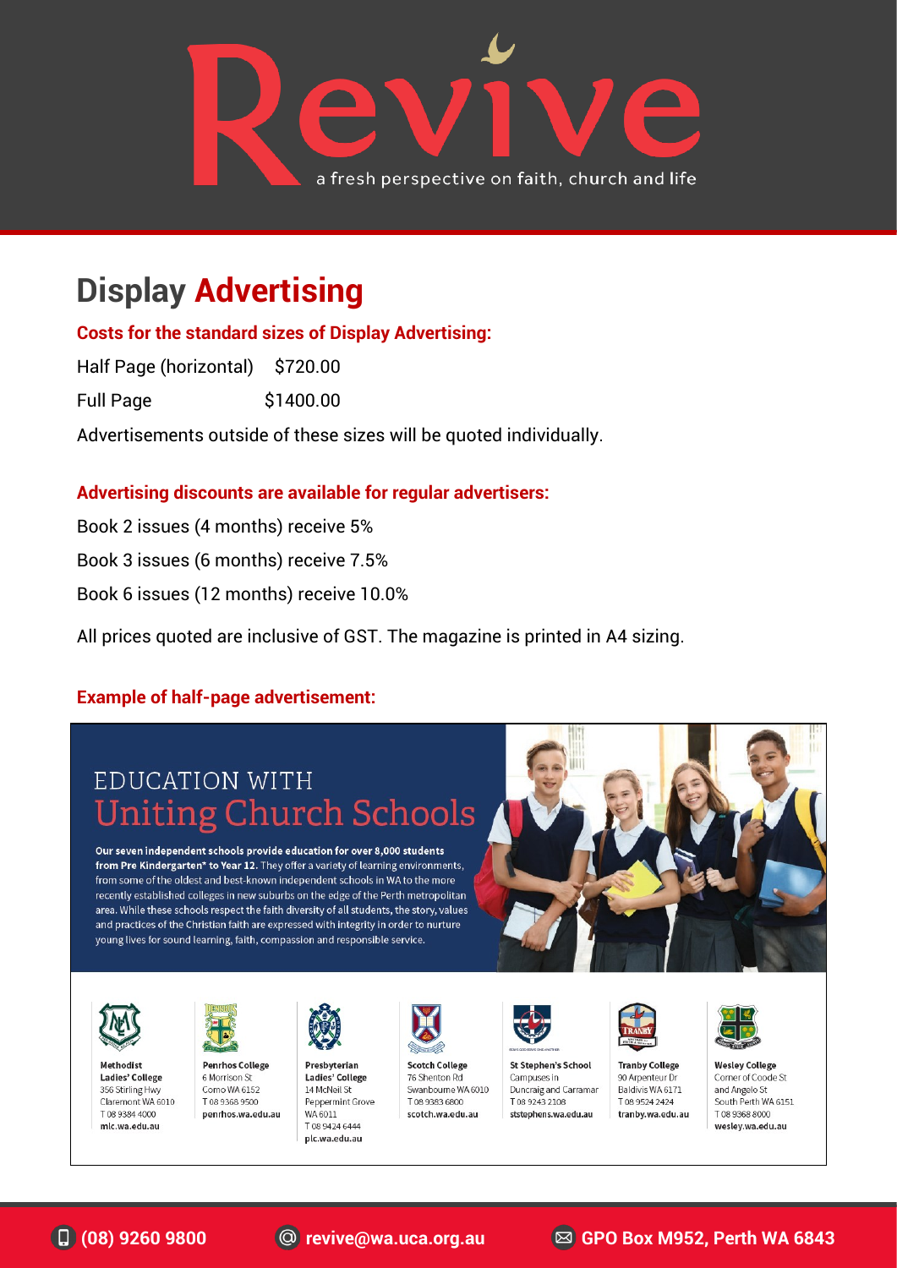

## **Display Advertising**

**Costs for the standard sizes of Display Advertising:**

Half Page (horizontal) \$720.00

Full Page \$1400.00

Advertisements outside of these sizes will be quoted individually.

#### **Advertising discounts are available for regular advertisers:**

Book 2 issues (4 months) receive 5% Book 3 issues (6 months) receive 7.5% Book 6 issues (12 months) receive 10.0%

All prices quoted are inclusive of GST. The magazine is printed in A4 sizing.

#### **Example of half-page advertisement:**

### EDUCATION WITH **Uniting Church Schools**

Our seven independent schools provide education for over 8,000 students from Pre Kindergarten\* to Year 12. They offer a variety of learning environments, from some of the oldest and best-known independent schools in WA to the more recently established colleges in new suburbs on the edge of the Perth metropolitan area. While these schools respect the faith diversity of all students, the story, values and practices of the Christian faith are expressed with integrity in order to nurture young lives for sound learning, faith, compassion and responsible service.





Methodist Ladies' College 356 Stirling Hwy Claremont WA 6010 T08 9384 4000 mlc.wa.edu.au



**Penrhos College** 6 Morrison St Como WA 6152 DO30 9369 9500 penrhos.wa.edu.au



Presbyterian Ladies' College 14 McNeil St Peppermint Grove WA 6011 T 08 9424 6444 plc.wa.edu.au



**Scotch College** 76 Shenton Rd Swanbourne WA 6010 DO893836800 scotch.wa.edu.au



**St Stephen's School** Campuses in Duncraig and Carramar T0892432108 ststephens.wa.edu.au



**Tranby College** 90 Arpenteur Dr Baldivis WA 6171 T0895242424 tranby.wa.edu.au



**Wesley College** Corner of Coode St and Angelo St South Perth WA 6151 T 08 9368 8000 wesley.wa.edu.au

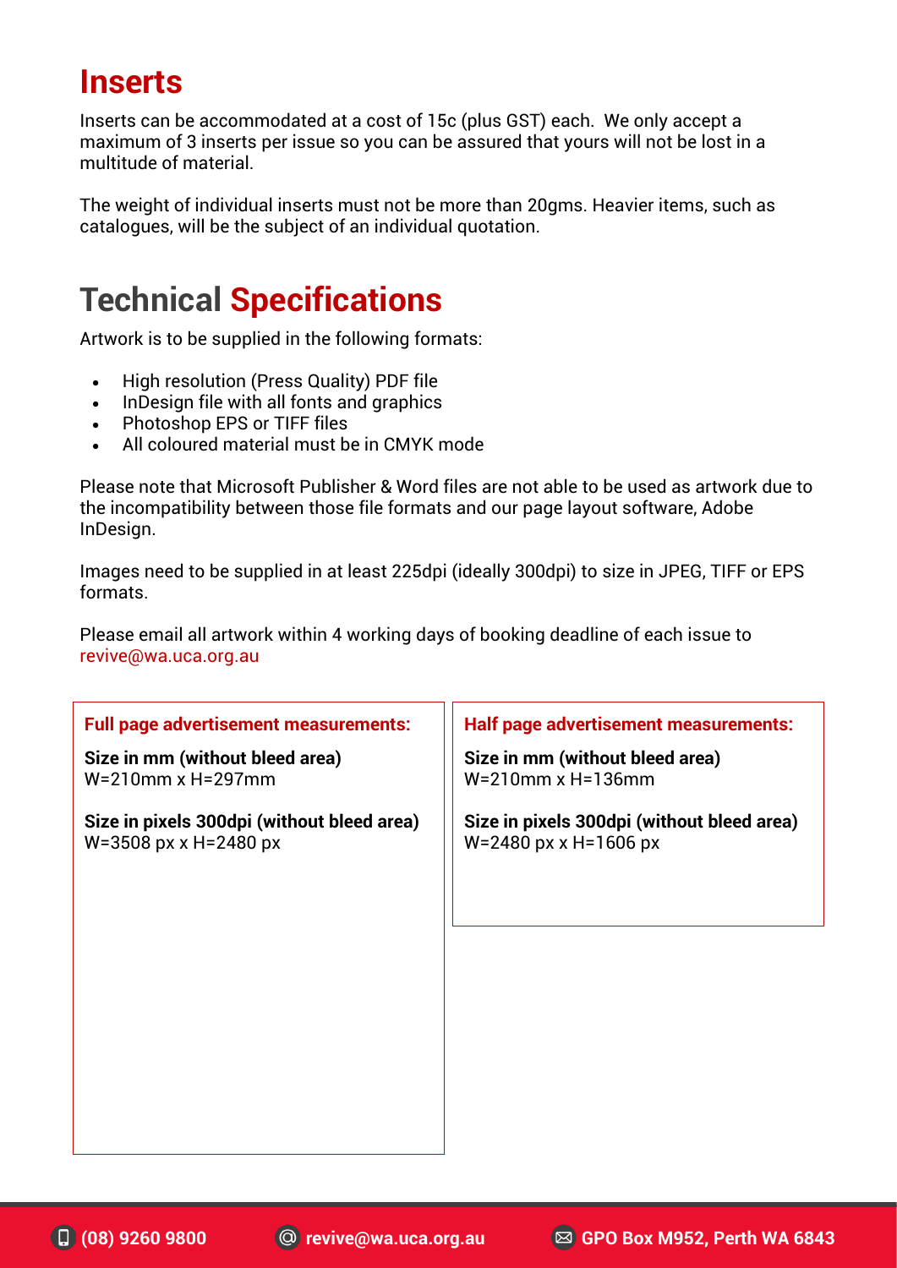### **Inserts**

Inserts can be accommodated at a cost of 15c (plus GST) each. We only accept a maximum of 3 inserts per issue so you can be assured that yours will not be lost in a multitude of material.

The weight of individual inserts must not be more than 20gms. Heavier items, such as catalogues, will be the subject of an individual quotation.

### **Technical Specifications**

Artwork is to be supplied in the following formats:

- High resolution (Press Quality) PDF file
- InDesign file with all fonts and graphics
- Photoshop EPS or TIFF files
- All coloured material must be in CMYK mode

Please note that Microsoft Publisher & Word files are not able to be used as artwork due to the incompatibility between those file formats and our page layout software, Adobe InDesign.

Images need to be supplied in at least 225dpi (ideally 300dpi) to size in JPEG, TIFF or EPS formats.

Please email all artwork within 4 working days of booking deadline of each issue to revive@wa.uca.org.au

| <b>Full page advertisement measurements:</b>                              | <b>Half page advertisement measurements:</b>                              |
|---------------------------------------------------------------------------|---------------------------------------------------------------------------|
| Size in mm (without bleed area)<br>$W=210$ mm x H=297mm                   | Size in mm (without bleed area)<br>$W=210$ mm x H=136mm                   |
| Size in pixels 300dpi (without bleed area)<br>$W = 3508$ px x H = 2480 px | Size in pixels 300dpi (without bleed area)<br>$W = 2480$ px x H = 1606 px |
|                                                                           |                                                                           |
|                                                                           |                                                                           |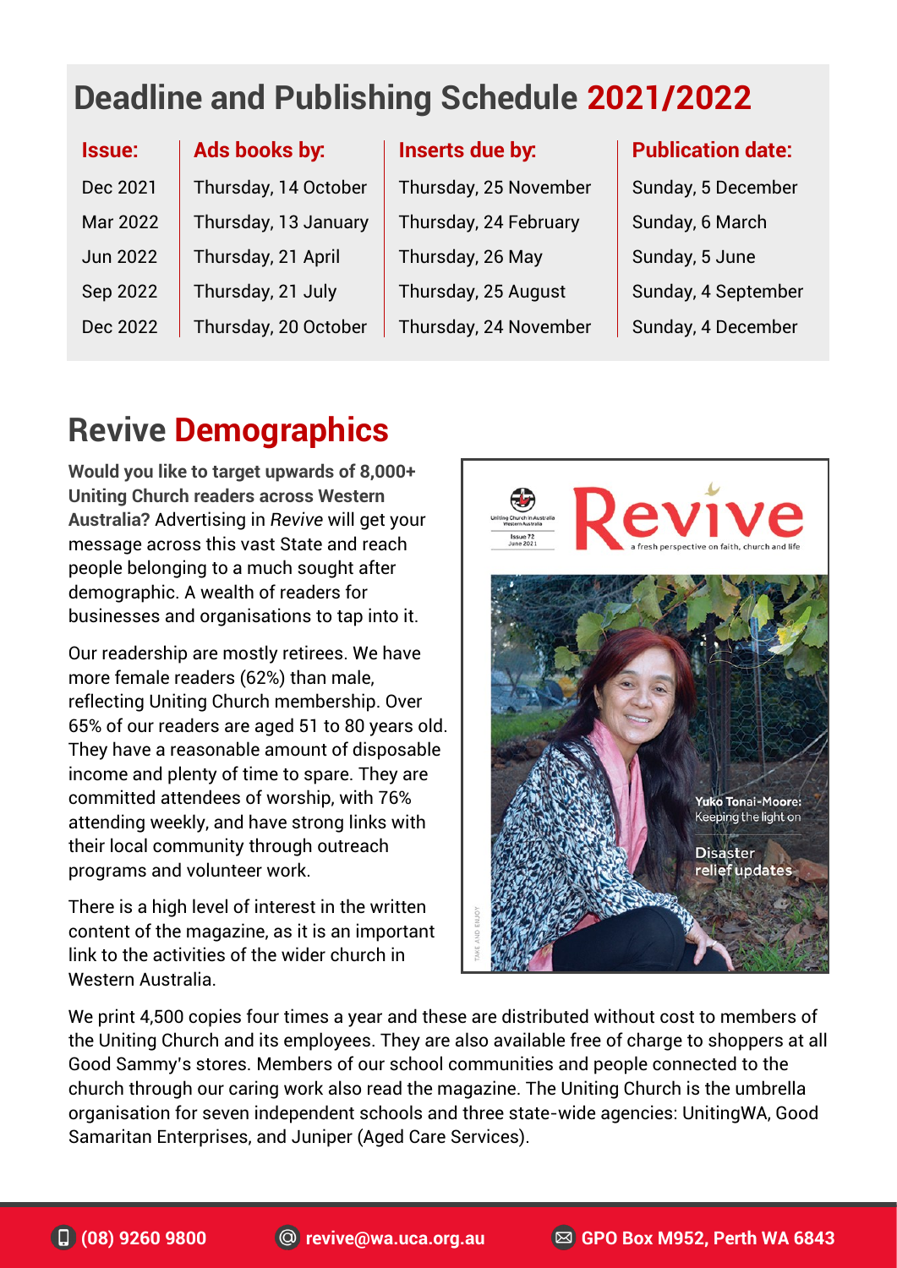# **Deadline and Publishing Schedule 2021/2022**

| Ads books by:        |
|----------------------|
| Thursday, 14 October |
| Thursday, 13 January |
| Thursday, 21 April   |
| Thursday, 21 July    |
| Thursday, 20 October |
|                      |

**Inserts due by:**

Thursday, 25 November Thursday, 24 February Thursday, 26 May Thursday, 25 August Thursday, 24 November

#### **Publication date:**

Sunday, 5 December Sunday, 6 March Sunday, 5 June Sunday, 4 September Sunday, 4 December

### **Revive Demographics**

**Would you like to target upwards of 8,000+ Uniting Church readers across Western Australia?** Advertising in *Revive* will get your message across this vast State and reach people belonging to a much sought after demographic. A wealth of readers for businesses and organisations to tap into it.

Our readership are mostly retirees. We have more female readers (62%) than male, reflecting Uniting Church membership. Over 65% of our readers are aged 51 to 80 years old. They have a reasonable amount of disposable income and plenty of time to spare. They are committed attendees of worship, with 76% attending weekly, and have strong links with their local community through outreach programs and volunteer work.

There is a high level of interest in the written content of the magazine, as it is an important link to the activities of the wider church in Western Australia.



We print 4,500 copies four times a year and these are distributed without cost to members of the Uniting Church and its employees. They are also available free of charge to shoppers at all Good Sammy's stores. Members of our school communities and people connected to the church through our caring work also read the magazine. The Uniting Church is the umbrella organisation for seven independent schools and three state-wide agencies: UnitingWA, Good Samaritan Enterprises, and Juniper (Aged Care Services).